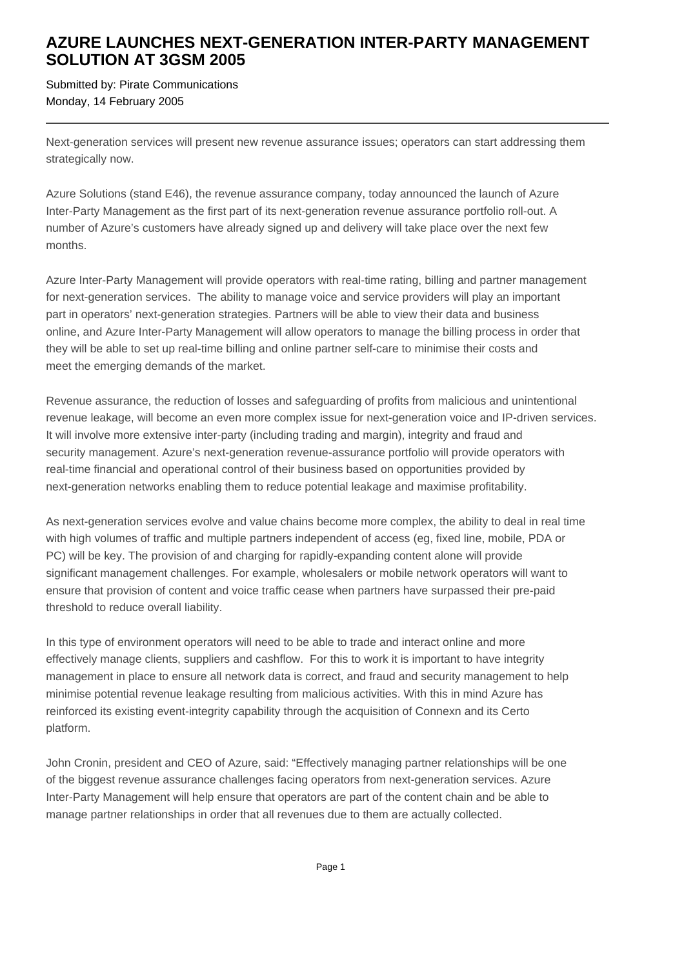## **AZURE LAUNCHES NEXT-GENERATION INTER-PARTY MANAGEMENT SOLUTION AT 3GSM 2005**

Submitted by: Pirate Communications Monday, 14 February 2005

Next-generation services will present new revenue assurance issues; operators can start addressing them strategically now.

Azure Solutions (stand E46), the revenue assurance company, today announced the launch of Azure Inter-Party Management as the first part of its next-generation revenue assurance portfolio roll-out. A number of Azure's customers have already signed up and delivery will take place over the next few months.

Azure Inter-Party Management will provide operators with real-time rating, billing and partner management for next-generation services. The ability to manage voice and service providers will play an important part in operators' next-generation strategies. Partners will be able to view their data and business online, and Azure Inter-Party Management will allow operators to manage the billing process in order that they will be able to set up real-time billing and online partner self-care to minimise their costs and meet the emerging demands of the market.

Revenue assurance, the reduction of losses and safeguarding of profits from malicious and unintentional revenue leakage, will become an even more complex issue for next-generation voice and IP-driven services. It will involve more extensive inter-party (including trading and margin), integrity and fraud and security management. Azure's next-generation revenue-assurance portfolio will provide operators with real-time financial and operational control of their business based on opportunities provided by next-generation networks enabling them to reduce potential leakage and maximise profitability.

As next-generation services evolve and value chains become more complex, the ability to deal in real time with high volumes of traffic and multiple partners independent of access (eg, fixed line, mobile, PDA or PC) will be key. The provision of and charging for rapidly-expanding content alone will provide significant management challenges. For example, wholesalers or mobile network operators will want to ensure that provision of content and voice traffic cease when partners have surpassed their pre-paid threshold to reduce overall liability.

In this type of environment operators will need to be able to trade and interact online and more effectively manage clients, suppliers and cashflow. For this to work it is important to have integrity management in place to ensure all network data is correct, and fraud and security management to help minimise potential revenue leakage resulting from malicious activities. With this in mind Azure has reinforced its existing event-integrity capability through the acquisition of Connexn and its Certo platform.

John Cronin, president and CEO of Azure, said: "Effectively managing partner relationships will be one of the biggest revenue assurance challenges facing operators from next-generation services. Azure Inter-Party Management will help ensure that operators are part of the content chain and be able to manage partner relationships in order that all revenues due to them are actually collected.